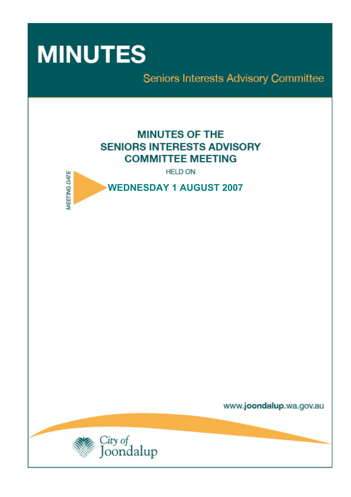

Seniors Interests Advisory Committee

# **MINUTES OF THE SENIORS INTERESTS ADVISORY COMMITTEE MEETING**

**HELD ON** 



www.joondalup.wa.gov.au

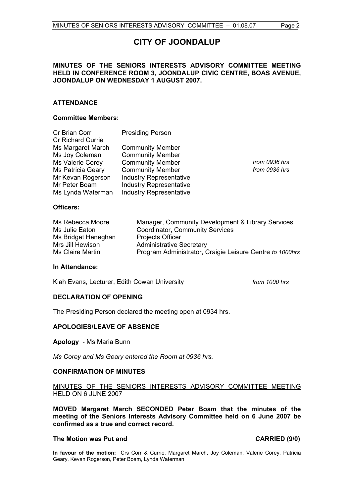## **CITY OF JOONDALUP**

#### **MINUTES OF THE SENIORS INTERESTS ADVISORY COMMITTEE MEETING HELD IN CONFERENCE ROOM 3, JOONDALUP CIVIC CENTRE, BOAS AVENUE, JOONDALUP ON WEDNESDAY 1 AUGUST 2007.**

#### **ATTENDANCE**

#### **Committee Members:**

| Cr Brian Corr<br><b>Cr Richard Currie</b>                         | <b>Presiding Person</b>                                                              |                                |
|-------------------------------------------------------------------|--------------------------------------------------------------------------------------|--------------------------------|
| Ms Margaret March<br>Ms Joy Coleman                               | <b>Community Member</b><br><b>Community Member</b>                                   |                                |
| Ms Valerie Corey<br><b>Ms Patricia Geary</b><br>Mr Kevan Rogerson | <b>Community Member</b><br><b>Community Member</b><br><b>Industry Representative</b> | from 0936 hrs<br>from 0936 hrs |
| Mr Peter Boam<br>Ms Lynda Waterman                                | <b>Industry Representative</b><br><b>Industry Representative</b>                     |                                |
| <b>Officers:</b>                                                  |                                                                                      |                                |

| Ms Rebecca Moore    | Manager, Community Development & Library Services        |
|---------------------|----------------------------------------------------------|
| Ms Julie Eaton      | Coordinator, Community Services                          |
| Ms Bridget Heneghan | <b>Projects Officer</b>                                  |
| Mrs Jill Hewison    | <b>Administrative Secretary</b>                          |
| Ms Claire Martin    | Program Administrator, Craigie Leisure Centre to 1000hrs |

#### **In Attendance:**

Kiah Evans, Lecturer, Edith Cowan University *from 1000 hrs* 

#### **DECLARATION OF OPENING**

The Presiding Person declared the meeting open at 0934 hrs.

#### **APOLOGIES/LEAVE OF ABSENCE**

**Apology** - Ms Maria Bunn

*Ms Corey and Ms Geary entered the Room at 0936 hrs.* 

#### **CONFIRMATION OF MINUTES**

#### MINUTES OF THE SENIORS INTERESTS ADVISORY COMMITTEE MEETING HELD ON 6 JUNE 2007

**MOVED Margaret March SECONDED Peter Boam that the minutes of the meeting of the Seniors Interests Advisory Committee held on 6 June 2007 be confirmed as a true and correct record.** 

#### **The Motion was Put and CARRIED (9/0)**

**In favour of the motion:** Crs Corr & Currie, Margaret March, Joy Coleman, Valerie Corey, Patricia Geary, Kevan Rogerson, Peter Boam, Lynda Waterman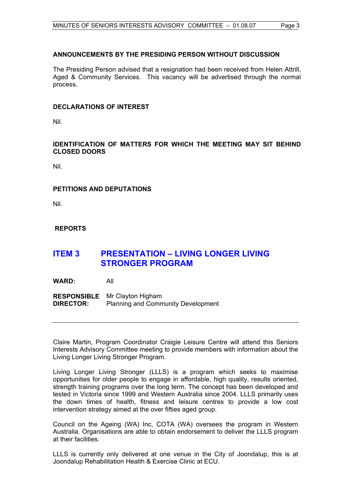#### **ANNOUNCEMENTS BY THE PRESIDING PERSON WITHOUT DISCUSSION**

The Presiding Person advised that a resignation had been received from Helen Attrill, Aged & Community Services. This vacancy will be advertised through the normal process.

#### **DECLARATIONS OF INTEREST**

Nil.

**IDENTIFICATION OF MATTERS FOR WHICH THE MEETING MAY SIT BEHIND CLOSED DOORS** 

Nil.

#### **PETITIONS AND DEPUTATIONS**

Nil.

#### **REPORTS**

## **ITEM 3 PRESENTATION – LIVING LONGER LIVING STRONGER PROGRAM**

**WARD:** All

**RESPONSIBLE** Mr Clayton Higham **DIRECTOR:** Planning and Community Development

Claire Martin, Program Coordinator Craigie Leisure Centre will attend this Seniors Interests Advisory Committee meeting to provide members with information about the Living Longer Living Stronger Program.

Living Longer Living Stronger (LLLS) is a program which seeks to maximise opportunities for older people to engage in affordable, high quality, results oriented, strength training programs over the long term. The concept has been developed and tested in Victoria since 1999 and Western Australia since 2004. LLLS primarily uses the down times of health, fitness and leisure centres to provide a low cost intervention strategy aimed at the over fifties aged group.

Council on the Ageing (WA) Inc, COTA (WA) oversees the program in Western Australia. Organisations are able to obtain endorsement to deliver the LLLS program at their facilities.

LLLS is currently only delivered at one venue in the City of Joondalup, this is at Joondalup Rehabilitation Health & Exercise Clinic at ECU.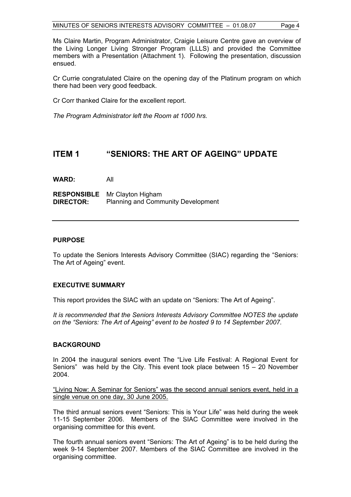Ms Claire Martin, Program Administrator, Craigie Leisure Centre gave an overview of the Living Longer Living Stronger Program (LLLS) and provided the Committee members with a Presentation (Attachment 1). Following the presentation, discussion ensued.

Cr Currie congratulated Claire on the opening day of the Platinum program on which there had been very good feedback.

Cr Corr thanked Claire for the excellent report.

*The Program Administrator left the Room at 1000 hrs.* 

## **ITEM 1 "SENIORS: THE ART OF AGEING" UPDATE**

**WARD:** All

**RESPONSIBLE** Mr Clayton Higham **DIRECTOR:** Planning and Community Development

#### **PURPOSE**

To update the Seniors Interests Advisory Committee (SIAC) regarding the "Seniors: The Art of Ageing" event.

#### **EXECUTIVE SUMMARY**

This report provides the SIAC with an update on "Seniors: The Art of Ageing".

*It is recommended that the Seniors Interests Advisory Committee NOTES the update on the "Seniors: The Art of Ageing" event to be hosted 9 to 14 September 2007.* 

#### **BACKGROUND**

In 2004 the inaugural seniors event The "Live Life Festival: A Regional Event for Seniors" was held by the City. This event took place between 15 – 20 November 2004.

"Living Now: A Seminar for Seniors" was the second annual seniors event, held in a single venue on one day, 30 June 2005.

The third annual seniors event "Seniors: This is Your Life" was held during the week 11-15 September 2006.Members of the SIAC Committee were involved in the organising committee for this event.

The fourth annual seniors event "Seniors: The Art of Ageing" is to be held during the week 9-14 September 2007. Members of the SIAC Committee are involved in the organising committee.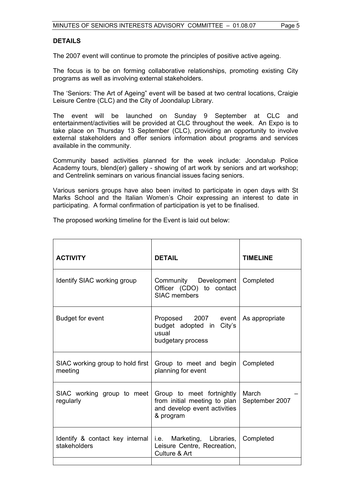#### **DETAILS**

The 2007 event will continue to promote the principles of positive active ageing.

The focus is to be on forming collaborative relationships, promoting existing City programs as well as involving external stakeholders.

The 'Seniors: The Art of Ageing" event will be based at two central locations, Craigie Leisure Centre (CLC) and the City of Joondalup Library.

The event will be launched on Sunday 9 September at CLC and entertainment/activities will be provided at CLC throughout the week. An Expo is to take place on Thursday 13 September (CLC), providing an opportunity to involve external stakeholders and offer seniors information about programs and services available in the community.

Community based activities planned for the week include: Joondalup Police Academy tours, blend(er) gallery - showing of art work by seniors and art workshop; and Centrelink seminars on various financial issues facing seniors.

Various seniors groups have also been invited to participate in open days with St Marks School and the Italian Women's Choir expressing an interest to date in participating. A formal confirmation of participation is yet to be finalised.

The proposed working timeline for the Event is laid out below:

| <b>ACTIVITY</b>                                 | <b>DETAIL</b>                                                                                          | <b>TIMELINE</b>         |
|-------------------------------------------------|--------------------------------------------------------------------------------------------------------|-------------------------|
| Identify SIAC working group                     | Community Development<br>Officer (CDO) to contact<br><b>SIAC</b> members                               | Completed               |
| <b>Budget for event</b>                         | Proposed 2007 event<br>budget adopted in City's<br>usual<br>budgetary process                          | As appropriate          |
| SIAC working group to hold first<br>meeting     | Group to meet and begin  <br>planning for event                                                        | Completed               |
| SIAC working group to meet<br>regularly         | Group to meet fortnightly<br>from initial meeting to plan<br>and develop event activities<br>& program | March<br>September 2007 |
| Identify & contact key internal<br>stakeholders | i.e. Marketing, Libraries,  <br>Leisure Centre, Recreation,<br>Culture & Art                           | Completed               |
|                                                 |                                                                                                        |                         |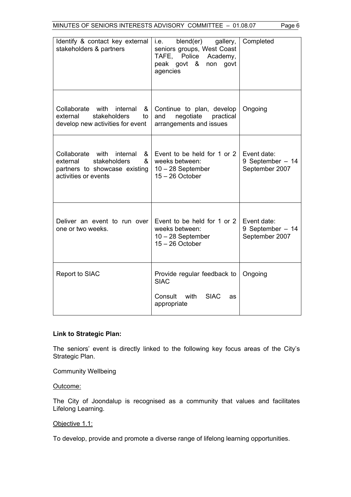| Identify & contact key external<br>stakeholders & partners                                                                  | blend(er)<br>i.e.<br>gallery,<br>seniors groups, West Coast<br>TAFE, Police<br>Academy,<br>non govt<br>peak govt &<br>agencies | Completed                                          |
|-----------------------------------------------------------------------------------------------------------------------------|--------------------------------------------------------------------------------------------------------------------------------|----------------------------------------------------|
| Collaborate with<br>internal<br>&<br>stakeholders<br>external<br>to<br>develop new activities for event                     | Continue to plan, develop<br>negotiate<br>and<br>practical<br>arrangements and issues                                          | Ongoing                                            |
| Collaborate with<br>internal<br>&<br>stakeholders<br>&<br>external<br>partners to showcase existing<br>activities or events | Event to be held for 1 or 2<br>weeks between:<br>$10 - 28$ September<br>$15 - 26$ October                                      | Event date:<br>9 September $-14$<br>September 2007 |
| Deliver an event to run over<br>one or two weeks.                                                                           | Event to be held for 1 or 2<br>weeks between:<br>$10 - 28$ September<br>$15 - 26$ October                                      | Event date:<br>9 September $-14$<br>September 2007 |
| Report to SIAC                                                                                                              | Provide regular feedback to<br><b>SIAC</b><br>with<br><b>SIAC</b><br>Consult<br>as<br>appropriate                              | Ongoing                                            |

### **Link to Strategic Plan:**

The seniors' event is directly linked to the following key focus areas of the City's Strategic Plan.

Community Wellbeing

Outcome:

The City of Joondalup is recognised as a community that values and facilitates Lifelong Learning.

#### Objective 1.1:

To develop, provide and promote a diverse range of lifelong learning opportunities.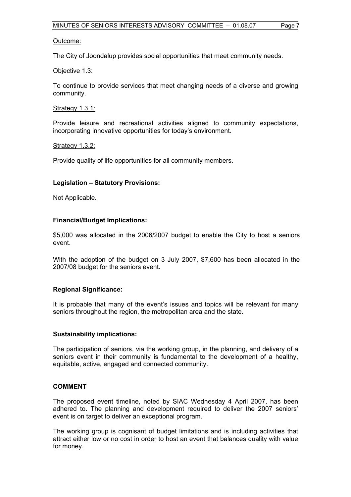#### Outcome:

The City of Joondalup provides social opportunities that meet community needs.

#### Objective 1.3:

To continue to provide services that meet changing needs of a diverse and growing community.

#### Strategy 1.3.1:

Provide leisure and recreational activities aligned to community expectations, incorporating innovative opportunities for today's environment.

#### Strategy 1.3.2:

Provide quality of life opportunities for all community members.

#### **Legislation – Statutory Provisions:**

Not Applicable.

#### **Financial/Budget Implications:**

\$5,000 was allocated in the 2006/2007 budget to enable the City to host a seniors event.

With the adoption of the budget on 3 July 2007, \$7,600 has been allocated in the 2007/08 budget for the seniors event.

#### **Regional Significance:**

It is probable that many of the event's issues and topics will be relevant for many seniors throughout the region, the metropolitan area and the state.

#### **Sustainability implications:**

The participation of seniors, via the working group, in the planning, and delivery of a seniors event in their community is fundamental to the development of a healthy, equitable, active, engaged and connected community.

#### **COMMENT**

The proposed event timeline, noted by SIAC Wednesday 4 April 2007, has been adhered to. The planning and development required to deliver the 2007 seniors' event is on target to deliver an exceptional program.

The working group is cognisant of budget limitations and is including activities that attract either low or no cost in order to host an event that balances quality with value for money.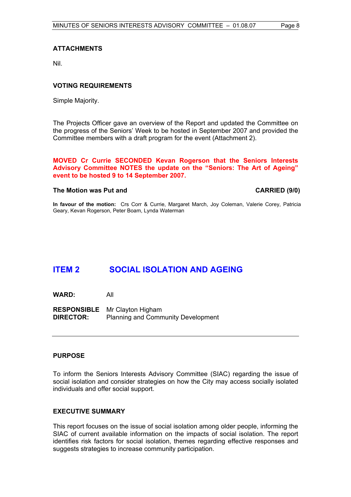#### **ATTACHMENTS**

Nil.

#### **VOTING REQUIREMENTS**

Simple Majority.

The Projects Officer gave an overview of the Report and updated the Committee on the progress of the Seniors' Week to be hosted in September 2007 and provided the Committee members with a draft program for the event (Attachment 2).

#### **MOVED Cr Currie SECONDED Kevan Rogerson that the Seniors Interests Advisory Committee NOTES the update on the "Seniors: The Art of Ageing" event to be hosted 9 to 14 September 2007.**

#### The Motion was Put and **CARRIED** (9/0)

**In favour of the motion:** Crs Corr & Currie, Margaret March, Joy Coleman, Valerie Corey, Patricia Geary, Kevan Rogerson, Peter Boam, Lynda Waterman

## **ITEM 2 SOCIAL ISOLATION AND AGEING**

**WARD:** All

**RESPONSIBLE** Mr Clayton Higham **DIRECTOR:** Planning and Community Development

#### **PURPOSE**

To inform the Seniors Interests Advisory Committee (SIAC) regarding the issue of social isolation and consider strategies on how the City may access socially isolated individuals and offer social support.

#### **EXECUTIVE SUMMARY**

This report focuses on the issue of social isolation among older people, informing the SIAC of current available information on the impacts of social isolation. The report identifies risk factors for social isolation, themes regarding effective responses and suggests strategies to increase community participation.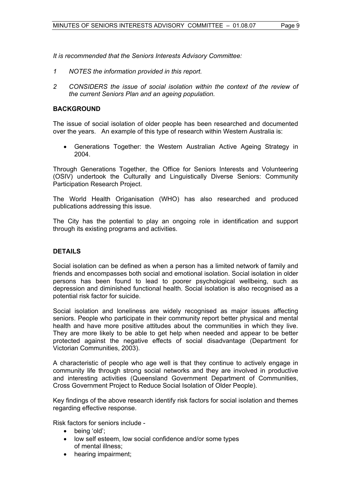*It is recommended that the Seniors Interests Advisory Committee:* 

- *1 NOTES the information provided in this report.*
- 2 CONSIDERS the issue of social isolation within the context of the review of *the current Seniors Plan and an ageing population.*

#### **BACKGROUND**

The issue of social isolation of older people has been researched and documented over the years. An example of this type of research within Western Australia is:

• Generations Together: the Western Australian Active Ageing Strategy in 2004.

Through Generations Together, the Office for Seniors Interests and Volunteering (OSIV) undertook the Culturally and Linguistically Diverse Seniors: Community Participation Research Project.

The World Health Origanisation (WHO) has also researched and produced publications addressing this issue.

The City has the potential to play an ongoing role in identification and support through its existing programs and activities.

#### **DETAILS**

Social isolation can be defined as when a person has a limited network of family and friends and encompasses both social and emotional isolation. Social isolation in older persons has been found to lead to poorer psychological wellbeing, such as depression and diminished functional health. Social isolation is also recognised as a potential risk factor for suicide.

Social isolation and loneliness are widely recognised as major issues affecting seniors. People who participate in their community report better physical and mental health and have more positive attitudes about the communities in which they live. They are more likely to be able to get help when needed and appear to be better protected against the negative effects of social disadvantage (Department for Victorian Communities, 2003).

A characteristic of people who age well is that they continue to actively engage in community life through strong social networks and they are involved in productive and interesting activities (Queensland Government Department of Communities, Cross Government Project to Reduce Social Isolation of Older People).

Key findings of the above research identify risk factors for social isolation and themes regarding effective response.

Risk factors for seniors include -

- being 'old';
- low self esteem, low social confidence and/or some types of mental illness;
- hearing impairment: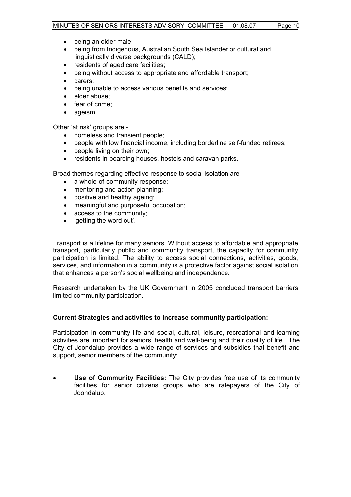- being an older male;
- being from Indigenous, Australian South Sea Islander or cultural and linguistically diverse backgrounds (CALD);
- residents of aged care facilities;
- being without access to appropriate and affordable transport;
- carers;
- being unable to access various benefits and services;
- elder abuse;
- fear of crime;
- ageism.

Other 'at risk' groups are -

- homeless and transient people;
- people with low financial income, including borderline self-funded retirees;
- people living on their own;
- residents in boarding houses, hostels and caravan parks.

Broad themes regarding effective response to social isolation are -

- a whole-of-community response:
- mentoring and action planning;
- positive and healthy ageing;
- meaningful and purposeful occupation;
- access to the community;
- 'getting the word out'.

Transport is a lifeline for many seniors. Without access to affordable and appropriate transport, particularly public and community transport, the capacity for community participation is limited. The ability to access social connections, activities, goods, services, and information in a community is a protective factor against social isolation that enhances a person's social wellbeing and independence.

Research undertaken by the UK Government in 2005 concluded transport barriers limited community participation.

#### **Current Strategies and activities to increase community participation:**

Participation in community life and social, cultural, leisure, recreational and learning activities are important for seniors' health and well-being and their quality of life. The City of Joondalup provides a wide range of services and subsidies that benefit and support, senior members of the community:

• **Use of Community Facilities:** The City provides free use of its community facilities for senior citizens groups who are ratepayers of the City of Joondalup.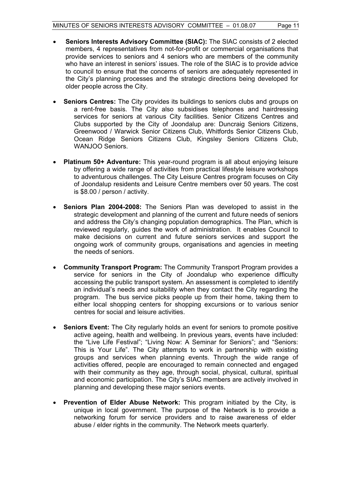- **Seniors Interests Advisory Committee (SIAC):** The SIAC consists of 2 elected members, 4 representatives from not-for-profit or commercial organisations that provide services to seniors and 4 seniors who are members of the community who have an interest in seniors' issues. The role of the SIAC is to provide advice to council to ensure that the concerns of seniors are adequately represented in the City's planning processes and the strategic directions being developed for older people across the City.
- **Seniors Centres:** The City provides its buildings to seniors clubs and groups on a rent-free basis. The City also subsidises telephones and hairdressing services for seniors at various City facilities. Senior Citizens Centres and Clubs supported by the City of Joondalup are: Duncraig Seniors Citizens, Greenwood / Warwick Senior Citizens Club, Whitfords Senior Citizens Club, Ocean Ridge Seniors Citizens Club, Kingsley Seniors Citizens Club, WANJOO Seniors.
- **Platinum 50+ Adventure:** This year-round program is all about enjoying leisure by offering a wide range of activities from practical lifestyle leisure workshops to adventurous challenges. The City Leisure Centres program focuses on City of Joondalup residents and Leisure Centre members over 50 years. The cost is \$8.00 / person / activity.
- **Seniors Plan 2004-2008:** The Seniors Plan was developed to assist in the strategic development and planning of the current and future needs of seniors and address the City's changing population demographics. The Plan, which is reviewed regularly, guides the work of administration. It enables Council to make decisions on current and future seniors services and support the ongoing work of community groups, organisations and agencies in meeting the needs of seniors.
- **Community Transport Program:** The Community Transport Program provides a service for seniors in the City of Joondalup who experience difficulty accessing the public transport system. An assessment is completed to identify an individual's needs and suitability when they contact the City regarding the program. The bus service picks people up from their home, taking them to either local shopping centers for shopping excursions or to various senior centres for social and leisure activities.
- **Seniors Event:** The City regularly holds an event for seniors to promote positive active ageing, health and wellbeing. In previous years, events have included: the "Live Life Festival"; "Living Now: A Seminar for Seniors"; and "Seniors: This is Your Life". The City attempts to work in partnership with existing groups and services when planning events. Through the wide range of activities offered, people are encouraged to remain connected and engaged with their community as they age, through social, physical, cultural, spiritual and economic participation. The City's SIAC members are actively involved in planning and developing these major seniors events.
- **Prevention of Elder Abuse Network:** This program initiated by the City, is unique in local government. The purpose of the Network is to provide a networking forum for service providers and to raise awareness of elder abuse / elder rights in the community. The Network meets quarterly.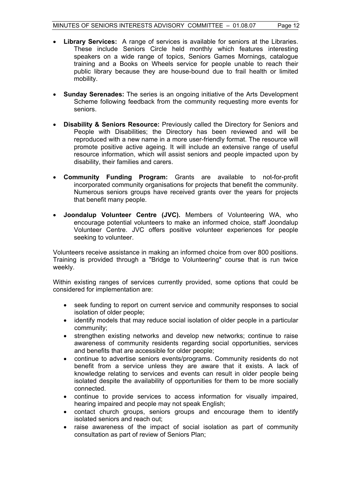- **Library Services:** A range of services is available for seniors at the Libraries. These include Seniors Circle held monthly which features interesting speakers on a wide range of topics, Seniors Games Mornings, catalogue training and a Books on Wheels service for people unable to reach their public library because they are house-bound due to frail health or limited mobility.
- **Sunday Serenades:** The series is an ongoing initiative of the Arts Development Scheme following feedback from the community requesting more events for seniors.
- **Disability & Seniors Resource:** Previously called the Directory for Seniors and People with Disabilities; the Directory has been reviewed and will be reproduced with a new name in a more user-friendly format. The resource will promote positive active ageing. It will include an extensive range of useful resource information, which will assist seniors and people impacted upon by disability, their families and carers.
- **Community Funding Program:** Grants are available to not-for-profit incorporated community organisations for projects that benefit the community. Numerous seniors groups have received grants over the years for projects that benefit many people.
- **Joondalup Volunteer Centre (JVC).** Members of Volunteering WA, who encourage potential volunteers to make an informed choice, staff Joondalup Volunteer Centre. JVC offers positive volunteer experiences for people seeking to volunteer.

Volunteers receive assistance in making an informed choice from over 800 positions. Training is provided through a "Bridge to Volunteering" course that is run twice weekly.

Within existing ranges of services currently provided, some options that could be considered for implementation are:

- seek funding to report on current service and community responses to social isolation of older people;
- identify models that may reduce social isolation of older people in a particular community;
- strengthen existing networks and develop new networks; continue to raise awareness of community residents regarding social opportunities, services and benefits that are accessible for older people;
- continue to advertise seniors events/programs. Community residents do not benefit from a service unless they are aware that it exists. A lack of knowledge relating to services and events can result in older people being isolated despite the availability of opportunities for them to be more socially connected.
- continue to provide services to access information for visually impaired, hearing impaired and people may not speak English;
- contact church groups, seniors groups and encourage them to identify isolated seniors and reach out;
- raise awareness of the impact of social isolation as part of community consultation as part of review of Seniors Plan;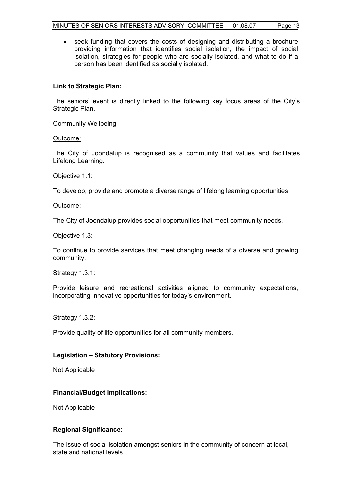• seek funding that covers the costs of designing and distributing a brochure providing information that identifies social isolation, the impact of social isolation, strategies for people who are socially isolated, and what to do if a person has been identified as socially isolated.

#### **Link to Strategic Plan:**

The seniors' event is directly linked to the following key focus areas of the City's Strategic Plan.

Community Wellbeing

Outcome:

The City of Joondalup is recognised as a community that values and facilitates Lifelong Learning.

#### Objective 1.1:

To develop, provide and promote a diverse range of lifelong learning opportunities.

#### Outcome:

The City of Joondalup provides social opportunities that meet community needs.

#### Objective 1.3:

To continue to provide services that meet changing needs of a diverse and growing community.

#### Strategy 1.3.1:

Provide leisure and recreational activities aligned to community expectations, incorporating innovative opportunities for today's environment.

#### Strategy 1.3.2:

Provide quality of life opportunities for all community members.

#### **Legislation – Statutory Provisions:**

Not Applicable

#### **Financial/Budget Implications:**

Not Applicable

#### **Regional Significance:**

The issue of social isolation amongst seniors in the community of concern at local, state and national levels.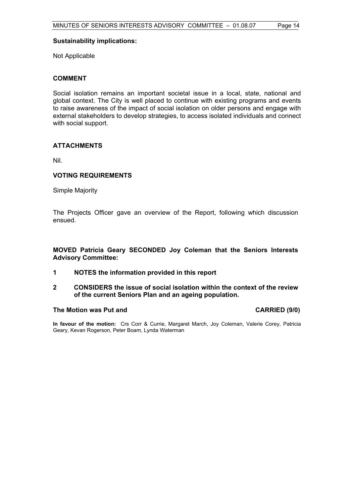#### **Sustainability implications:**

Not Applicable

#### **COMMENT**

Social isolation remains an important societal issue in a local, state, national and global context. The City is well placed to continue with existing programs and events to raise awareness of the impact of social isolation on older persons and engage with external stakeholders to develop strategies, to access isolated individuals and connect with social support.

#### **ATTACHMENTS**

Nil.

#### **VOTING REQUIREMENTS**

Simple Majority

The Projects Officer gave an overview of the Report, following which discussion ensued.

#### **MOVED Patricia Geary SECONDED Joy Coleman that the Seniors Interests Advisory Committee:**

- **1 NOTES the information provided in this report**
- **2 CONSIDERS the issue of social isolation within the context of the review of the current Seniors Plan and an ageing population.**

#### **The Motion was Put and CARRIED (9/0)**

**In favour of the motion:** Crs Corr & Currie, Margaret March, Joy Coleman, Valerie Corey, Patricia Geary, Kevan Rogerson, Peter Boam, Lynda Waterman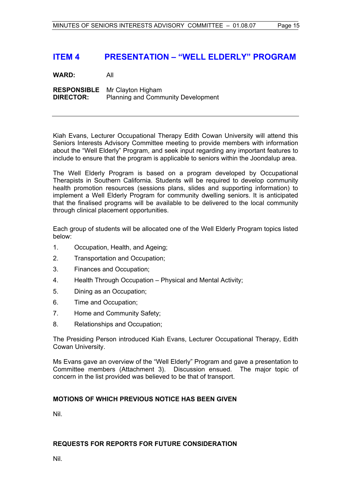## **ITEM 4 PRESENTATION – "WELL ELDERLY" PROGRAM**

**WARD:** All

**RESPONSIBLE** Mr Clayton Higham **DIRECTOR:** Planning and Community Development

Kiah Evans, Lecturer Occupational Therapy Edith Cowan University will attend this Seniors Interests Advisory Committee meeting to provide members with information about the "Well Elderly" Program, and seek input regarding any important features to include to ensure that the program is applicable to seniors within the Joondalup area.

The Well Elderly Program is based on a program developed by Occupational Therapists in Southern California. Students will be required to develop community health promotion resources (sessions plans, slides and supporting information) to implement a Well Elderly Program for community dwelling seniors. It is anticipated that the finalised programs will be available to be delivered to the local community through clinical placement opportunities.

Each group of students will be allocated one of the Well Elderly Program topics listed below:

- 1. Occupation, Health, and Ageing;
- 2. Transportation and Occupation;
- 3. Finances and Occupation;
- 4. Health Through Occupation Physical and Mental Activity;
- 5. Dining as an Occupation;
- 6. Time and Occupation;
- 7. Home and Community Safety;
- 8. Relationships and Occupation;

The Presiding Person introduced Kiah Evans, Lecturer Occupational Therapy, Edith Cowan University.

Ms Evans gave an overview of the "Well Elderly" Program and gave a presentation to Committee members (Attachment 3). Discussion ensued. The major topic of concern in the list provided was believed to be that of transport.

#### **MOTIONS OF WHICH PREVIOUS NOTICE HAS BEEN GIVEN**

Nil.

### **REQUESTS FOR REPORTS FOR FUTURE CONSIDERATION**

Nil.